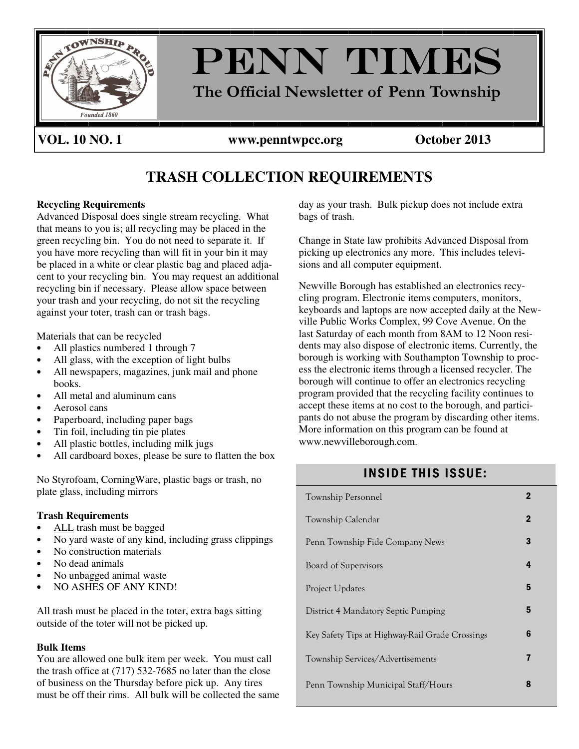

**VOL. 10 NO. 1 www.penntwpcc.org October 2013** 

# **TRASH COLLECTION REQUIREMENTS**

#### **Recycling Requirements**

Advanced Disposal does single stream recycling. What that means to you is; all recycling may be placed in the green recycling bin. You do not need to separate it. If you have more recycling than will fit in your bin it may be placed in a white or clear plastic bag and placed adjacent to your recycling bin. You may request an additional recycling bin if necessary. Please allow space between your trash and your recycling, do not sit the recycling against your toter, trash can or trash bags.

Materials that can be recycled

- All plastics numbered 1 through 7
- All glass, with the exception of light bulbs
- All newspapers, magazines, junk mail and phone books.
- All metal and aluminum cans
- Aerosol cans
- Paperboard, including paper bags
- Tin foil, including tin pie plates
- All plastic bottles, including milk jugs
- All cardboard boxes, please be sure to flatten the box

No Styrofoam, CorningWare, plastic bags or trash, no plate glass, including mirrors

#### **Trash Requirements**

- ALL trash must be bagged
- No yard waste of any kind, including grass clippings
- No construction materials
- No dead animals
- No unbagged animal waste
- NO ASHES OF ANY KIND!

All trash must be placed in the toter, extra bags sitting outside of the toter will not be picked up.

#### **Bulk Items**

You are allowed one bulk item per week. You must call the trash office at (717) 532-7685 no later than the close of business on the Thursday before pick up. Any tires must be off their rims. All bulk will be collected the same day as your trash. Bulk pickup does not include extra bags of trash.

Change in State law prohibits Advanced Disposal from picking up electronics any more. This includes televisions and all computer equipment.

Newville Borough has established an electronics recycling program. Electronic items computers, monitors, keyboards and laptops are now accepted daily at the Newville Public Works Complex, 99 Cove Avenue. On the last Saturday of each month from 8AM to 12 Noon residents may also dispose of electronic items. Currently, the borough is working with Southampton Township to process the electronic items through a licensed recycler. The borough will continue to offer an electronics recycling program provided that the recycling facility continues to accept these items at no cost to the borough, and participants do not abuse the program by discarding other items. More information on this program can be found at www.newvilleborough.com.

## **INSIDE THIS ISSUE:**

| Township Personnel                              |             |
|-------------------------------------------------|-------------|
| Township Calendar                               | $\mathbf 2$ |
| Penn Township Fide Company News                 | 3           |
| Board of Supervisors                            | 4           |
| <b>Project Updates</b>                          | 5           |
| District 4 Mandatory Septic Pumping             | 5           |
| Key Safety Tips at Highway-Rail Grade Crossings | 6           |
| Township Services/Advertisements                | 7           |
| Penn Township Municipal Staff/Hours             | 8           |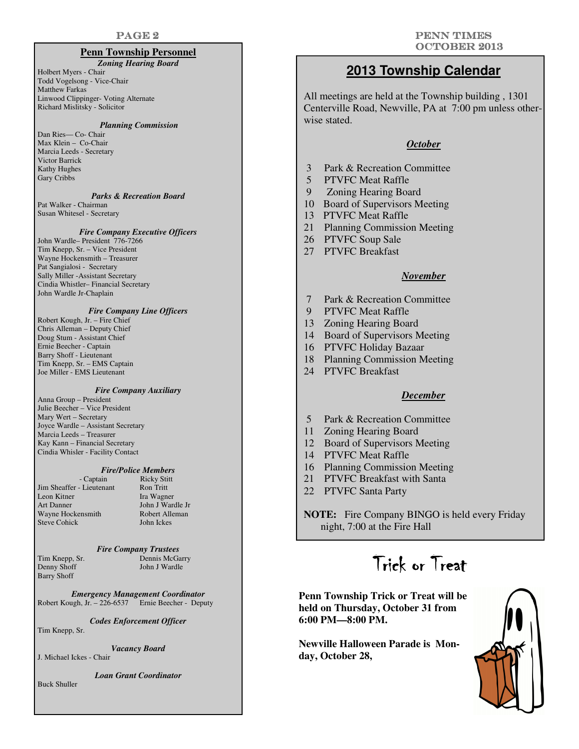#### **Penn Township Personnel**

#### *Zoning Hearing Board*

Holbert Myers - Chair Todd Vogelsong - Vice-Chair Matthew Farkas Linwood Clippinger- Voting Alternate Richard Mislitsky - Solicitor

#### *Planning Commission*

Dan Ries— Co- Chair Max Klein – Co-Chair Marcia Leeds - Secretary Victor Barrick Kathy Hughes Gary Cribbs

#### *Parks & Recreation Board*

Pat Walker - Chairman Susan Whitesel - Secretary

#### *Fire Company Executive Officers*

John Wardle– President 776-7266 Tim Knepp, Sr. – Vice President Wayne Hockensmith – Treasurer Pat Sangialosi - Secretary Sally Miller -Assistant Secretary Cindia Whistler– Financial Secretary John Wardle Jr-Chaplain

#### *Fire Company Line Officers*

Robert Kough, Jr. – Fire Chief Chris Alleman – Deputy Chief Doug Stum - Assistant Chief Ernie Beecher - Captain Barry Shoff - Lieutenant Tim Knepp, Sr. – EMS Captain Joe Miller - EMS Lieutenant

#### *Fire Company Auxiliary*

Anna Group – President Julie Beecher – Vice President Mary Wert – Secretary Joyce Wardle – Assistant Secretary Marcia Leeds – Treasurer Kay Kann – Financial Secretary Cindia Whisler - Facility Contact

# *Fire/Police Members*

Jim Sheaffer - Lieutenant Leon Kitner Ira Wagner Art Danner John J Wardle Jr Wayne Hockensmith Robert Alle<br>Steve Cohick John Ickes Steve Cohick

Ricky Stitt<br>Ron Tritt

#### *Fire Company Trustees*

Barry Shoff

Tim Knepp, Sr. Dennis McGarry<br>
Denny Shoff John J Wardle John J Wardle

#### *Emergency Management Coordinator*  Robert Kough, Jr. – 226-6537 Ernie Beecher - Deputy

#### *Codes Enforcement Officer*

Tim Knepp, Sr.

*Vacancy Board* 

J. Michael Ickes - Chair

*Loan Grant Coordinator* 

Buck Shuller

## **2013 Township Calendar**

All meetings are held at the Township building , 1301 Centerville Road, Newville, PA at 7:00 pm unless otherwise stated.

#### *October*

- 3 Park & Recreation Committee
- 5 PTVFC Meat Raffle
- 9 Zoning Hearing Board
- 10 Board of Supervisors Meeting
- 13 PTVFC Meat Raffle
- 21 Planning Commission Meeting
- 26 PTVFC Soup Sale
- 27 PTVFC Breakfast

#### *November*

- 7 Park & Recreation Committee
- 9 PTVFC Meat Raffle
- 13 Zoning Hearing Board
- 14 Board of Supervisors Meeting
- 16 PTVFC Holiday Bazaar
- 18 Planning Commission Meeting
- 24 PTVFC Breakfast

#### *December*

- 5 Park & Recreation Committee
- 11 Zoning Hearing Board
- 12 Board of Supervisors Meeting
- 14 PTVFC Meat Raffle
- 16 Planning Commission Meeting
- 21 PTVFC Breakfast with Santa
- 22 PTVFC Santa Party

**NOTE:** Fire Company BINGO is held every Friday night, 7:00 at the Fire Hall

# Trick or Treat

**Penn Township Trick or Treat will be held on Thursday, October 31 from 6:00 PM—8:00 PM.** 

**Newville Halloween Parade is Monday, October 28,** 

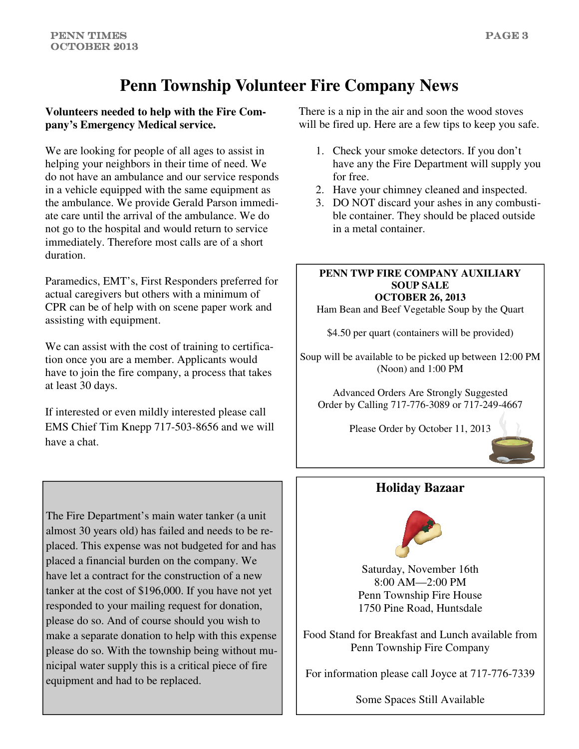# **Penn Township Volunteer Fire Company News**

### **Volunteers needed to help with the Fire Company's Emergency Medical service.**

We are looking for people of all ages to assist in helping your neighbors in their time of need. We do not have an ambulance and our service responds in a vehicle equipped with the same equipment as the ambulance. We provide Gerald Parson immediate care until the arrival of the ambulance. We do not go to the hospital and would return to service immediately. Therefore most calls are of a short duration.

Paramedics, EMT's, First Responders preferred for actual caregivers but others with a minimum of CPR can be of help with on scene paper work and assisting with equipment.

We can assist with the cost of training to certification once you are a member. Applicants would have to join the fire company, a process that takes at least 30 days.

If interested or even mildly interested please call EMS Chief Tim Knepp 717-503-8656 and we will have a chat.

The Fire Department's main water tanker (a unit almost 30 years old) has failed and needs to be replaced. This expense was not budgeted for and has placed a financial burden on the company. We have let a contract for the construction of a new tanker at the cost of \$196,000. If you have not yet responded to your mailing request for donation, please do so. And of course should you wish to make a separate donation to help with this expense please do so. With the township being without municipal water supply this is a critical piece of fire equipment and had to be replaced.

There is a nip in the air and soon the wood stoves will be fired up. Here are a few tips to keep you safe.

- 1. Check your smoke detectors. If you don't have any the Fire Department will supply you for free.
- 2. Have your chimney cleaned and inspected.
- 3. DO NOT discard your ashes in any combustible container. They should be placed outside in a metal container.

#### **PENN TWP FIRE COMPANY AUXILIARY SOUP SALE OCTOBER 26, 2013**

Ham Bean and Beef Vegetable Soup by the Quart

\$4.50 per quart (containers will be provided)

Soup will be available to be picked up between 12:00 PM (Noon) and 1:00 PM

Advanced Orders Are Strongly Suggested Order by Calling 717-776-3089 or 717-249-4667

Please Order by October 11, 2013



# **Holiday Bazaar**



Saturday, November 16th 8:00 AM—2:00 PM Penn Township Fire House 1750 Pine Road, Huntsdale

Food Stand for Breakfast and Lunch available from Penn Township Fire Company

For information please call Joyce at 717-776-7339

Some Spaces Still Available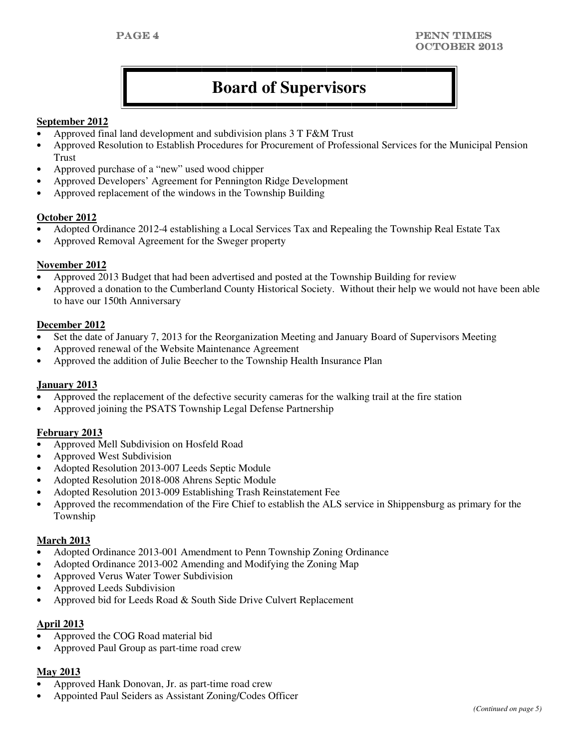# **Board of Supervisors**

#### **September 2012**

- Approved final land development and subdivision plans 3 T F&M Trust
- Approved Resolution to Establish Procedures for Procurement of Professional Services for the Municipal Pension Trust
- Approved purchase of a "new" used wood chipper
- Approved Developers' Agreement for Pennington Ridge Development
- Approved replacement of the windows in the Township Building

#### **October 2012**

- Adopted Ordinance 2012-4 establishing a Local Services Tax and Repealing the Township Real Estate Tax
- Approved Removal Agreement for the Sweger property

#### **November 2012**

- Approved 2013 Budget that had been advertised and posted at the Township Building for review
- Approved a donation to the Cumberland County Historical Society. Without their help we would not have been able to have our 150th Anniversary

#### **December 2012**

- Set the date of January 7, 2013 for the Reorganization Meeting and January Board of Supervisors Meeting
- Approved renewal of the Website Maintenance Agreement
- Approved the addition of Julie Beecher to the Township Health Insurance Plan

#### **January 2013**

- Approved the replacement of the defective security cameras for the walking trail at the fire station
- Approved joining the PSATS Township Legal Defense Partnership

#### **February 2013**

- Approved Mell Subdivision on Hosfeld Road
- Approved West Subdivision
- Adopted Resolution 2013-007 Leeds Septic Module
- Adopted Resolution 2018-008 Ahrens Septic Module
- Adopted Resolution 2013-009 Establishing Trash Reinstatement Fee
- Approved the recommendation of the Fire Chief to establish the ALS service in Shippensburg as primary for the Township

#### **March 2013**

- Adopted Ordinance 2013-001 Amendment to Penn Township Zoning Ordinance
- Adopted Ordinance 2013-002 Amending and Modifying the Zoning Map
- Approved Verus Water Tower Subdivision
- Approved Leeds Subdivision
- Approved bid for Leeds Road & South Side Drive Culvert Replacement

#### **April 2013**

- Approved the COG Road material bid
- Approved Paul Group as part-time road crew

#### **May 2013**

- Approved Hank Donovan, Jr. as part-time road crew
- Appointed Paul Seiders as Assistant Zoning/Codes Officer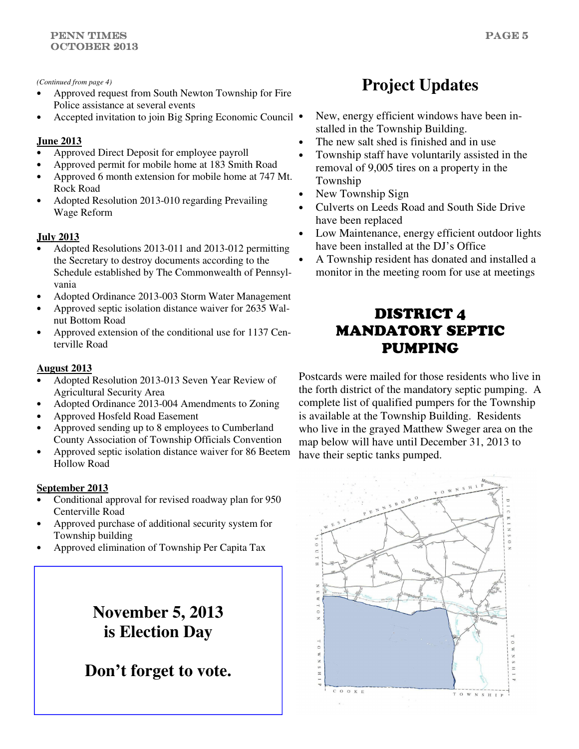#### *(Continued from page 4)*

- Approved request from South Newton Township for Fire Police assistance at several events
- Accepted invitation to join Big Spring Economic Council

### **June 2013**

- Approved Direct Deposit for employee payroll
- Approved permit for mobile home at 183 Smith Road
- Approved 6 month extension for mobile home at 747 Mt. Rock Road
- Adopted Resolution 2013-010 regarding Prevailing Wage Reform

### **July 2013**

- Adopted Resolutions 2013-011 and 2013-012 permitting the Secretary to destroy documents according to the Schedule established by The Commonwealth of Pennsylvania
- Adopted Ordinance 2013-003 Storm Water Management
- Approved septic isolation distance waiver for 2635 Walnut Bottom Road
- Approved extension of the conditional use for 1137 Centerville Road

### **August 2013**

- Adopted Resolution 2013-013 Seven Year Review of Agricultural Security Area
- Adopted Ordinance 2013-004 Amendments to Zoning
- Approved Hosfeld Road Easement
- Approved sending up to 8 employees to Cumberland County Association of Township Officials Convention
- Approved septic isolation distance waiver for 86 Beetem Hollow Road

### **September 2013**

- Conditional approval for revised roadway plan for 950 Centerville Road
- Approved purchase of additional security system for Township building
- Approved elimination of Township Per Capita Tax

# **November 5, 2013 is Election Day**

**Don't forget to vote.** 

# **Project Updates**

- New, energy efficient windows have been installed in the Township Building.
- The new salt shed is finished and in use
- Township staff have voluntarily assisted in the removal of 9,005 tires on a property in the Township
- New Township Sign
- Culverts on Leeds Road and South Side Drive have been replaced
- Low Maintenance, energy efficient outdoor lights have been installed at the DJ's Office
- A Township resident has donated and installed a monitor in the meeting room for use at meetings

# DISTRICT 4 MANDATORY SEPTIC PUMPING

Postcards were mailed for those residents who live in the forth district of the mandatory septic pumping. A complete list of qualified pumpers for the Township is available at the Township Building. Residents who live in the grayed Matthew Sweger area on the map below will have until December 31, 2013 to have their septic tanks pumped.

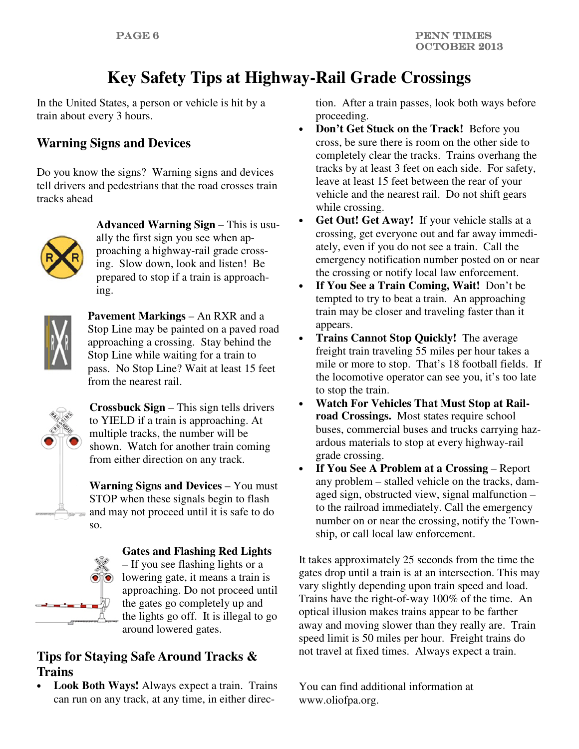# **Key Safety Tips at Highway-Rail Grade Crossings**

In the United States, a person or vehicle is hit by a train about every 3 hours.

# **Warning Signs and Devices**

Do you know the signs? Warning signs and devices tell drivers and pedestrians that the road crosses train tracks ahead



**Advanced Warning Sign** – This is usually the first sign you see when approaching a highway-rail grade crossing. Slow down, look and listen! Be prepared to stop if a train is approaching.



**Pavement Markings** – An RXR and a Stop Line may be painted on a paved road approaching a crossing. Stay behind the Stop Line while waiting for a train to pass. No Stop Line? Wait at least 15 feet from the nearest rail.



**Crossbuck Sign** – This sign tells drivers to YIELD if a train is approaching. At multiple tracks, the number will be shown. Watch for another train coming from either direction on any track.

**Warning Signs and Devices** – You must STOP when these signals begin to flash and may not proceed until it is safe to do so.



#### **Gates and Flashing Red Lights**

– If you see flashing lights or a lowering gate, it means a train is approaching. Do not proceed until the gates go completely up and the lights go off. It is illegal to go around lowered gates.

# **Tips for Staying Safe Around Tracks & Trains**

• **Look Both Ways!** Always expect a train. Trains can run on any track, at any time, in either direction. After a train passes, look both ways before proceeding.

- **Don't Get Stuck on the Track!** Before you cross, be sure there is room on the other side to completely clear the tracks. Trains overhang the tracks by at least 3 feet on each side. For safety, leave at least 15 feet between the rear of your vehicle and the nearest rail. Do not shift gears while crossing.
- Get Out! Get Away! If your vehicle stalls at a crossing, get everyone out and far away immediately, even if you do not see a train. Call the emergency notification number posted on or near the crossing or notify local law enforcement.
- **If You See a Train Coming, Wait!** Don't be tempted to try to beat a train. An approaching train may be closer and traveling faster than it appears.
- **Trains Cannot Stop Quickly!** The average freight train traveling 55 miles per hour takes a mile or more to stop. That's 18 football fields. If the locomotive operator can see you, it's too late to stop the train.
- **Watch For Vehicles That Must Stop at Railroad Crossings.** Most states require school buses, commercial buses and trucks carrying hazardous materials to stop at every highway-rail grade crossing.
- **If You See A Problem at a Crossing**  Report any problem – stalled vehicle on the tracks, damaged sign, obstructed view, signal malfunction – to the railroad immediately. Call the emergency number on or near the crossing, notify the Township, or call local law enforcement.

It takes approximately 25 seconds from the time the gates drop until a train is at an intersection. This may vary slightly depending upon train speed and load. Trains have the right-of-way 100% of the time. An optical illusion makes trains appear to be farther away and moving slower than they really are. Train speed limit is 50 miles per hour. Freight trains do not travel at fixed times. Always expect a train.

You can find additional information at www.oliofpa.org.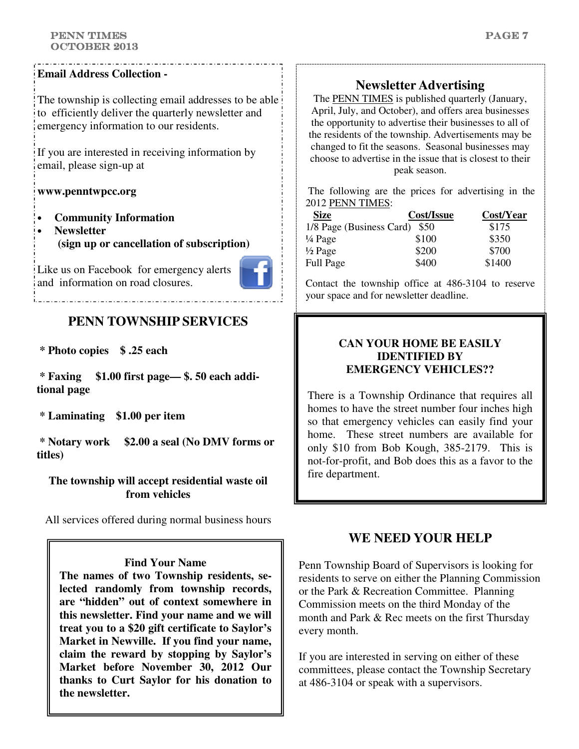#### PENN TIMES OCTOBER 2013

### **Email Address Collection -**

The township is collecting email addresses to be able to efficiently deliver the quarterly newsletter and emergency information to our residents.

If you are interested in receiving information by email, please sign-up at

### **www.penntwpcc.org**

- **Community Information**
- **Newsletter (sign up or cancellation of subscription)**

Like us on Facebook for emergency alerts and information on road closures.



# **PENN TOWNSHIP SERVICES**

 **\* Photo copies \$ .25 each** 

 **\* Faxing \$1.00 first page— \$. 50 each additional page** 

 **\* Laminating \$1.00 per item** 

 **\* Notary work \$2.00 a seal (No DMV forms or titles)** 

**The township will accept residential waste oil from vehicles** 

All services offered during normal business hours

### **Find Your Name**

**The names of two Township residents, selected randomly from township records, are "hidden" out of context somewhere in this newsletter. Find your name and we will treat you to a \$20 gift certificate to Saylor's Market in Newville. If you find your name, claim the reward by stopping by Saylor's Market before November 30, 2012 Our thanks to Curt Saylor for his donation to the newsletter.**

# **Newsletter Advertising**

The PENN TIMES is published quarterly (January, April, July, and October), and offers area businesses the opportunity to advertise their businesses to all of the residents of the township. Advertisements may be changed to fit the seasons. Seasonal businesses may choose to advertise in the issue that is closest to their peak season.

 The following are the prices for advertising in the 2012 PENN TIMES:

| <b>Size</b>                   | Cost/Issue | Cost/Year |
|-------------------------------|------------|-----------|
| 1/8 Page (Business Card) \$50 |            | \$175     |
| $\frac{1}{4}$ Page            | \$100      | \$350     |
| $\frac{1}{2}$ Page            | \$200      | \$700     |
| <b>Full Page</b>              | \$400      | \$1400    |

Contact the township office at 486-3104 to reserve your space and for newsletter deadline.

### **CAN YOUR HOME BE EASILY IDENTIFIED BY EMERGENCY VEHICLES??**

There is a Township Ordinance that requires all homes to have the street number four inches high so that emergency vehicles can easily find your home. These street numbers are available for only \$10 from Bob Kough, 385-2179. This is not-for-profit, and Bob does this as a favor to the fire department.

## **WE NEED YOUR HELP**

Penn Township Board of Supervisors is looking for residents to serve on either the Planning Commission or the Park & Recreation Committee. Planning Commission meets on the third Monday of the month and Park & Rec meets on the first Thursday every month.

If you are interested in serving on either of these committees, please contact the Township Secretary at 486-3104 or speak with a supervisors.